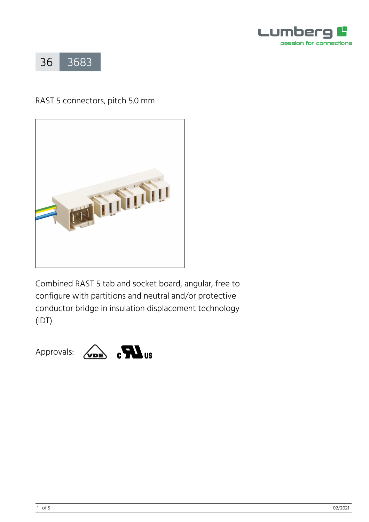



# RAST 5 connectors, pitch 5.0 mm



Combined RAST 5 tab and socket board, angular, free to configure with partitions and neutral and/or protective conductor bridge in insulation displacement technology (IDT)

#### $\epsilon$   $\sum$  us Approvals:  $\sqrt{\mathbf{v}}$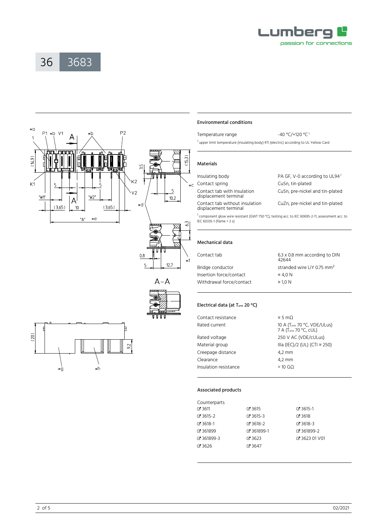

36 [3683](https://www.lumberg.com/en/products/product/3683)





 $A - A$ 

# $(20)$  $92$ ٠ģ  $\star$ h

## Environmental conditions

Temperature range  $-40 \degree C/120 \degree C^1$ <sup>1</sup> upper limit temperature (insulating body) RTI (electric) according to UL Yellow Card

#### Materials

| Insulating body                                         | PA GF, V-0 according to UL94 <sup>1</sup> |
|---------------------------------------------------------|-------------------------------------------|
| Contact spring                                          | CuSn, tin-plated                          |
| Contact tab with insulation<br>displacement terminal    | CuSn, pre-nickel and tin-plated           |
| Contact tab without insulation<br>displacement terminal | CuZn, pre-nickel and tin-plated           |

<sup>1</sup> component glow wire resistant (GWT 750 °C), testing acc. to IEC 60695-2-11, assessment acc. to IEC 60335-1 (flame < 2 s)

#### Mechanical data

| Contact tab              | 6.3 x 0.8 mm according to DIN<br>42644 |
|--------------------------|----------------------------------------|
| Bridge conductor         | stranded wire LiY 0.75 mm <sup>2</sup> |
| Insertion force/contact  | $\leq 4.0 N$                           |
| Withdrawal force/contact | $\geq$ 1.0 N                           |
|                          |                                        |

### Electrical data (at Tamb 20 °C)

| 10 A (Tamb 70 °C, VDE/ULus)<br>7 A (Tamb 70 °C, cUL) |
|------------------------------------------------------|
|                                                      |
| IIIa (IEC)/2 (UL) (CTI ≥ 250)                        |
|                                                      |
|                                                      |
|                                                      |
|                                                      |

#### Associated products

| Counterparts |            |               |
|--------------|------------|---------------|
| ේ 3611       | $C$ 3615   | ₹ 3615-1      |
| ේ 3615-2     | $C$ 3615-3 | $C$ 3618      |
| ේ 3618-1     | $C$ 3618-2 | $C$ 3618-3    |
| Z 361899     | 7361899-1  | ■ 361899-2    |
| 7361899-3    | $C = 3623$ | Z 3623 01 V01 |
| ේ 3626       | $C = 3647$ |               |
|              |            |               |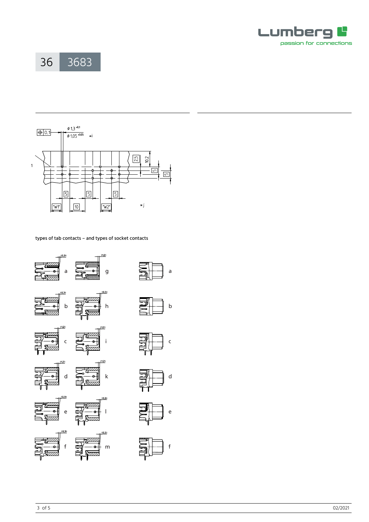





types of tab contacts – and types of socket contacts





a

b















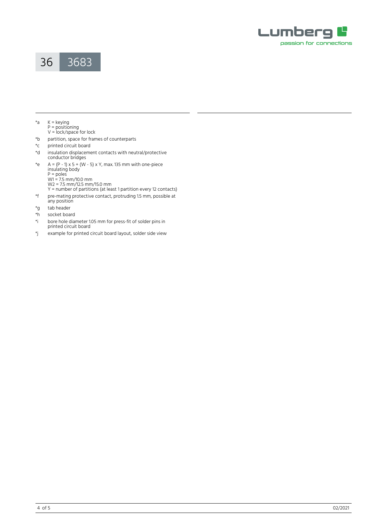



- \*a K = keying
	- P = positioning V = lock/space for lock
- \*b partition, space for frames of counterparts
- \*c printed circuit board
- \*d insulation displacement contacts with neutral/protective conductor bridges
- \*e A = (P 1) x 5 + (W 5) x Y, max. 135 mm with one-piece insulating body P = poles
	- W1 = 7.5 mm/10.0 mm W<sub>2</sub> = 7.5 mm/12.5 mm/15.0 mm
	- Y = number of partitions (at least 1 partition every 12 contacts)
- \*f pre-mating protective contact, protruding 1.5 mm, possible at any position
- \*g tab header<br>\*h socket boar
- \*h socket board<br>\*i bore hole dia
- bore hole diameter 1.05 mm for press-fit of solder pins in printed circuit board
- \*j example for printed circuit board layout, solder side view